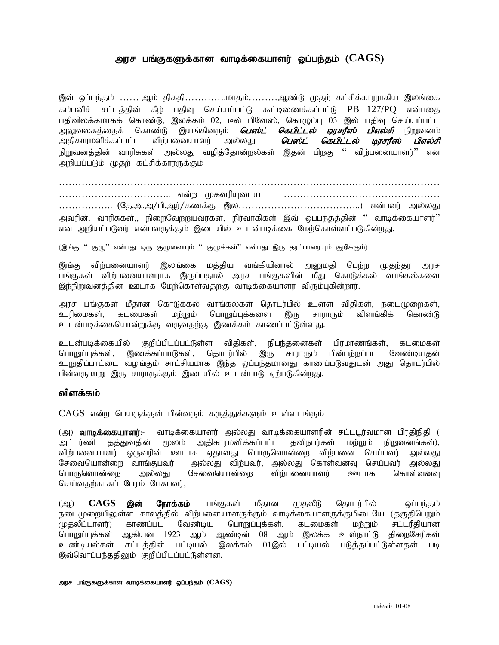## அரச பங்குகளுக்கான வாடிக்கையாளர் ஓப்பந்தம் ( $\mathrm{CAGS}\text{)}$

இவ் ஒப்பந்தம் …… ஆம் திகதி…………..மாதம்………ஆண்டு முதற் கட்சிக்காரராகிய இலங்கை கம்பனிச் சட்டக்கின் கீம் பகிவ செய்யப்பட்டு கூட்டிணைக்கப்பட்டு PB 127/PO என்பகை பதிவிலக்கமாகக் கொண்டு, இலக்கம் 02, டீல் பிளேஸ், கொழும்பு 03 இல் பதிவு செய்யப்பட்ட<br>அலுவலகத்தைக் கொண்டு இயங்கிவரும் *<mark>பெஸ்ட் கெபிட்டல் டிரசரீஸ் பிஎல்சி* நிறுவன</mark>ம் அலுவலகத்தைக் கொண்டு இயங்கிவரும் *<mark>பெஸ்ட் கெபிட்டல் டிரசரீஸ்</mark>*<br>அதிகாரமளிக்கப்பட்ட விற்பனையாளர் அல்லது *பெஸ்ட் கெபிட்டல்* அதிகாரமளிக்கப்பட்ட விந்பனையாளர் அல்லது *பெஸ்ட் கெபிட்டல் டிரசரீஸ் பிஎல்சி* நிறுவனத்தின் வாரிசுகள் அல்லது வழித்தோன்றல்கள் இதன் பிறகு '' விற்பனையாளர்'' என அறியப்படும் முதற் கட்சிக்காரருக்கும்

……………………………………………………………………………………………………… …………………………….. vd;w KftupAila ………………………………………… ………………. (தே.அ.அ/பி.ஆர்/கணக்கு இல…………………………………………) என்பவர் அல்லது அவரின், வாரிசுகள்,, நிறைவேற்றுபவர்கள், நிர்வாகிகள் இவ் ஒப்பந்தத்தின் '' வாடிக்கையாளர்'' என அறியப்படுவர் என்பவருக்கும் இடையில் உடன்படிக்கை மேற்கொள்ளப்படுகின்றது.

(இங்கு '' குழு'' என்பது ஒரு குழுவையும் '' குழுக்கள்'' என்பது இரு தரப்பாரையும் குறிக்கும்)

இங்கு விர்பனையாளர் இலங்கை மத்திய வங்கியினால் அனுமதி பெற்ற முதற்தர அரச பங்குகள் விற்பனையாளராக இருப்பதால் அரச பங்குகளின் மீது கொடுக்கல் வாங்கல்களை இந்நிறுவனத்தின் ஊடாக மேற்கொள்வதற்கு வாடிக்கையாளர் விரும்புகின்றார்.

அரச பங்குகள் மீதான கொடுக்கல் வாங்கல்கள் தொடர்பில் உள்ள விதிகள், நடைமுறைகள்,<br>உரிமைகள், கடமைகள் மற்றும் பொறுப்புக்களை இரு சாராரும் விளங்கிக் கொண்டு உரிமைகள், கடமைகள் மற்றும் பொறுப்புக்களை இரு சாராரும் விளங்கிக் கொண்டு உடன்படிக்கையொன்றுக்கு வருவதற்கு இணக்கம் காணப்பட்டுள்ளது.

உடன்படிக்கையில் குறிப்பிடப்பட்டுள்ள விதிகள், நிபந்தனைகள் பிரமாணங்கள், கடமைகள்<br>பொறுப்புக்கள், இணக்கப்பாடுகள், தொடர்பில் இரு சாராரும் பின்பற்றப்பட வேண்டியதன் பொறுப்புக்கள், இணக்கப்பாடுகள், தொடர்பில் இரு சாராரும் பின்பற்றப்பட வேண்டியதன் உறுதிப்பாட்டை வழங்கும் சாட்சியமாக இந்த ஒப்பந்தமானது காணப்படுவதுடன் அது தொடர்பில் பின்வருமாறு இரு சாராருக்கும் இடையில் உடன்பாடு ஏற்படுகின்றது.

#### விளக்கம்

 $CAGS$  என்ற பெயருக்குள் பின்வரும் கருத்துக்களும் உள்ளடங்கும்

(அ) **வாடிக்கையாளர்**:- வாடிக்கையாளர் அல்லது வாடிக்கையாளரின் சட்டபுர்வமான பிரதிநிதி ( அட்டர்ணி தத்துவதின் மூலம் அதிகாரமளிக்கப்பட்ட தனிநபர்கள் மற்றும் நிறுவனங்கள்), விற்பனையாளர் ஒருவரின் ஊடாக ஏதாவது பொருளொன்றை விற்பனை செய்பவர் அல்லது சேவையொன்றை வாங்குபவர் அல்லது விற்பவர், அல்லது கொள்வனவு செய்பவர் அல்லது பொருளொன்றை அல்லது சேவையொன்றை விற்பனையாளர் ஊடாக கொள்வனவு செய்வதற்காகப் பேரம் பேசுபவர்,

(ஆ) **CAGS <mark>இன் நோக்கம்</mark>- பங்**குகள் மீதான முதலீடு தொடர்பில் ஒப்பந்தம் நடைமுறையிலுள்ள காலத்தில் விற்பனையாளருக்கும் வாடிக்கையாளருக்குமிடையே (தகுதிபெறும்<br>முதலீட்டாளர்) காணப்பட வேண்டிய பொறுப்புக்கள், கடமைகள் மற்றும் சட்டரீதியான .<br>முதலீட்டாளர்) காணப்பட வேண்டிய பொறுப்புக்கள், கடமைகள் மற்றும் சட்டரீதியான<br>பொறுப்புக்கள் ஆகியன 1923 ஆம் ஆண்டின் 08 ஆம் இலக்க உள்நாட்டு கிறைசேரிகள் பொறுப்புக்கள் ஆகியன 1923 ஆம் ஆண்டின் 08 ஆம் இலக்க உள்நாட்டு<br>உண்டியல்கள் சட்டக்கின் பட்டியல் இலக்கம் 01இல் பட்டியல் படுத்தப்பட் சட்டத்தின் பட்டியல் இலக்கம் 01இல் பட்டியல் படுத்தப்பட்டுள்ளதன் படி இவ்வொப்பந்ததிலும் குறிப்பிடப்பட்டுள்ளன.

#### அரச பங்குகளுக்கான வாடிக்கையாளர் ஓப்பந்தம் ( $\mathrm{CAGS})$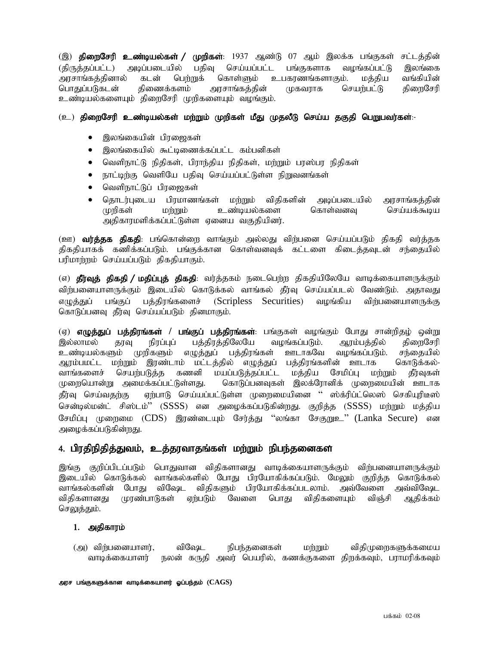(இ) **திறைசேரி உண்டியல்கள் / முறிகள்**: 1937 ஆண்டு 07 ஆம் இலக்க பங்குகள் சட்டத்தின் (திருத்தப்பட்ட) அடிப்படையில் பதிவு செய்யப்பட்ட பங்குகளாக வழங்கப்பட்டு இலங்கை<br>அரசாங்கத்தினால் கடன் பெற்றுக் கொள்ளும் உபகாணங்களாகும். மத்திய வங்கியின் அரசாங்கத்தினால் கடன் பெற்றுக் கொள்ளும் உபகரணங்களாகும். மத்திய பொதுப்படுகடன் திணைக்களம் அரசாங்கக்கின் முகவராக செயர்பட்டு கிரைசேரி உண்டியல்களையும் திறைசேரி முறிகளையும் வழங்கும்.

## $(2)$  திறைசேரி உண்டியல்கள் மற்றும் முறிகள் மீது முதலீடு செய்ய தகுதி பெறுபவர்கள்:-

- இலங்கையின் பிரஜைகள்
- இலங்கையில் கூட்டிணைக்கப்பட்ட கம்பனிகள்
- வெளிநாட்டு நிதிகள், பிராந்திய நிதிகள், மற்றும் பரஸ்பர நிதிகள்
- $\bullet$  நாட்டிற்கு வெளியே பதிவு செய்யப்பட்டுள்ள நிறுவனங்கள்
- வெளிநாட்டுப் பிரஜைகள்
- nih (தொடர்புடைய பிரமாணங்கள் மற்றும் விதிகளின் அடிப்படையில் அரசாங்கத்தின்<br>முறிகள் மற்றும் உண்டியல்களை கொள்வனவு செய்யக்கூடிய  $\mu$ ரிகள் மர்றும் உண்டியல்களை கொள்வனவு செய்யக்கூடிய அதிகாரமளிக்கப்பட்டுள்ள ஏனைய வகுதியினர்.

(ஊ) **வர்த்தக திகதி**: பங்கொன்றை வாங்கும் அல்லது விர்பனை செய்யப்படும் திகதி வர்த்தக திகதியாகக் கணிக்கப்படும். பங்குக்கான கொள்வனவுக் கட்டளை கிடைத்தவுடன் சந்தையில் பரிமாற்றம் செய்யப்படும் திகதியாகும்.

(எ) **தீர்வுத் திகதி / மதிப்புத் திகதி**: வர்த்தகம் நடைபெற்ற திகதியிலேயே வாடிக்கையாளருக்கும் விர்பனையாளருக்கும் இடையில் கொடுக்கல் வாங்கல் தீர்வு செய்யப்படல் வேண்டும். அதாவது எமுக்குப் பங்குப் பக்கிாங்களைச் (Scripless Securities) வமங்கிய விர்பனையாளருக்கு கொடுப்பனவு தீர்வு செய்யப்படும் தினமாகும்.

(ஏ) எழுத்துப் பத்திரங்கள் / பங்குப் பத்திரங்கள்: பங்குகள் வழங்கும் போது சான்றிதழ் ஒன்று இல்லாமல் தரவு நிரப்புப் பத்திரத்திலேயே வழங்கப்படும். ஆரம்பத்தில் திறைசேரி உண்டியல்களும் முறிகளும் எழுத்துப் பத்திரங்கள் ஊடாகவே வழங்கப்படும். சந்தையில் ஆரம்பமட்ட மற்றும் இரண்டாம் மட்டத்தில் எழுத்துப் பத்திரங்களின் ஊடாக கொடுக்கல்-வாங்களைச் செயர்படுத்த கணனி மயப்படுத்தப்பட்ட மத்திய சேமிப்பு மர்றும் தீர்வுகள் முறையொன்று அமைக்கப்பட்டுள்ளது. கொடுப்பனவுகள் இலக்ரோனிக் முறைமையின் ஊடாக தீர்வு செய்வதற்கு ஏற்பாடு செய்யப்பட்டுள்ள முறைமையினை '' ஸ்க்ரிப்ட்லெஸ் செகியுரிடீஸ் சென்டில்மன்ட் சிஸ்டம்'' (SSSS) என அழைக்கப்படுகின்றது. குறித்த (SSSS) மற்றும் மத்திய சேமிப்பு முறைமை (CDS) இரண்டையும் சேர்த்து ''லங்கா சேகுறுஉ'' (Lanka Secure) என அழைக்கப்படுகின்றது.

## 4. பிரதிநிதித்துவம், உத்தரவாதங்கள் மற்றும் நிபந்தனைகள

இங்கு குறிப்பிடப்படும் பொதுவான விதிகளானது வாடிக்கையாளருக்கும் விற்பனையாளருக்கும் இடையில் கொடுக்கல் வாங்கல்களில் போது பிரயோகிக்கப்படும். மேலும் குறித்த கொடுக்கல் வாங்கல்களின் போது விஷேட விதிகளும் பிரயோகிக்கப்படலாம். அவ்வேளை அவ்விஷேட விதிகளானது முரண்பாடுகள் ஏற்படும் வேளை பொது விதிகளையும் விஞ்சி ஆதிக்கம் செலுத்தும்.

### 1. அதிகாரம்

(அ) விந்பனையாளர், விஷேட நிபந்தனைகள் மற்றும் விதிமுறைகளுக்கமைய வாடிக்கையாளர் நலன் கருதி அவர் பெயரில், கணக்குகளை திறக்கவும், பராமரிக்கவும்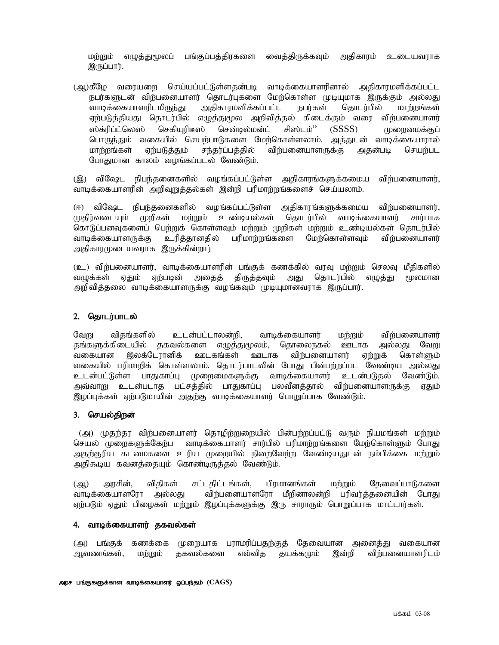மற்றும் எழுத்துமூலப் பங்குப்பத்திரகளை வைத்திருக்கவும் அதிகாரம் உடையவராக இருப்பார்.

(ஆ)கீழே வரையரை செய்யப்பட்டுள்ளதன்படி வாடிக்கையாளரினால் அதிகாரமளிக்கப்பட்ட நபர்களுடன் விற்பனையாளர் தொடர்புகளை மேற்கொள்ள முடியுமாக இருக்கும் அல்லது<br>வாடிக்கையாளரிடமிருந்து அதிகாரமளிக்கப்பட்ட நபர்கள் தொடர்பில் மாற்றங்கள் வாடிக்கையாளரிடமிருந்து அதிகாரமளிக்கப்பட்ட நபர்கள் தொடர்பில் மாற்றங்கள் ஏற்படுத்தியது தொடர்பில் எமுத்துமூல அறிவித்தல் கிடைக்கும் வரை விற்பனையாளர் ஸ்க்ரிப்ட்லெஸ் செகியுரிடீஸ் சென்டில்மன்ட் சிஸ்டம்'' (SSSS) முறைமைக்குப் பொருந்தும் வகையில் செயற்பாடுகளை மேற்கொள்ளலாம். அத்துடன் வாடிக்கையாரால்<br>மாற்றங்கள் ஏற்படுத்தும் சந்தர்ப்பக்கில் விர்பனையாளருக்கு அகன்படி செயர்பட மாற்றங்கள் ஏற்படுக்கும் சந்தர்ப்பக்கில் விற்பனையாளருக்கு அகன்படி செயற்பட போதுமான காலம் வழங்கப்படல் வேண்டும்.

(இ) விஷேட நிபந்தனைகளில் வழங்கப்பட்டுள்ள அதிகாரங்களுக்கமைய விற்பனையாளர், வாடிக்கையாளரின் அறிவுறுத்தல்கள் இன்றி பரிமாற்றங்களைச் செய்யலாம்.

(ஈ) விஷேட நிபந்தனைகளில் வழங்கப்பட்டுள்ள அதிகாரங்களுக்கமைய விர்பனையாளர், முதிர்வடையும் முறிகள் மற்றும் உண்டியல்கள் தொடர்பில் வாடிக்கையாளர் சார்பாக கொடுப்பனவுகளைப் பெற்றுக் கொள்ளவும் மற்றும் முறிகள் மற்றும் உண்டியல்கள் தொடர்பில்<br>வாடிக்கையாளருக்கு உரித்தானதில் பரிமாற்றங்களை மேற்கொள்ளவும் விற்பனையாளர் வாடிக்கையாளருக்கு உரித்தானதில் பரிமாற்றங்களை மேற்கொள்ளவும் விற்பனையாளர் அதிகாரமுடையவராக இருக்கின்றார்.

(உ) விற்பனையாளர், வாடிக்கையாளரின் பங்குக் கணக்கில் வரவு மற்றும் செலவு மீதிகளில் வமுக்கள் ஏதும் எற்படின் அதைத் திருத்தவும் அது தொடர்பில் எமுத்து மூலமான அறிவித்தலை வாடிக்கையாளருக்கு வழங்கவும் முடியுமானவராக இருப்பார்.

### 2. தொடர்பாடல்

வேறு விதங்களில் உடன்பட்டாலன்றி, வாடிக்கையாளர் மற்றும் விற்பனையாளர் தங்களுக்கிடையில் தகவல்களை எழுத்துமூலம், தொலைநகல் ஊடாக அல்லது வேறு வகையான இலக்டேரானிக் ஊடகங்கள் ஊடாக விர்பனையாளர் எற்றுக் கொள்ளும் வகையில் பரிமாறிக் கொள்ளலாம். தொடர்பாடலின் போது பின்பற்றப்பட வேண்டிய அல்லது உடன்பட்டுள்ள பாதுகாப்பு முறைமைகளுக்கு வாடிக்கையாளர் உடன்படுதல் வேண்டும். அவ்வாறு உடன்படாத பட்சத்தில் பாதுகாப்பு பலவீனத்தால் விற்பனையாளருக்கு ஏதும் இழப்புக்கள் ஏற்படுமாயின் அதற்கு வாடிக்கையாளர் பொறுப்பாக வேண்டும்.

### 3. செயல்திறன்

(அ) முதற்தர விற்பனையாளர் தொழிற்றுறையில் பின்பற்றப்பட்டு வரும் நியமங்கள் மற்றும் செயல் முறைகளுக்கேற்ப வாடிக்கையாளர் சார்பில் பரிமாற்றங்களை மேற்கொள்ளும் போது அதற்குரிய கடமைகளை உரிய முறையில் நிறைவேற்ற வேண்டியதுடன் நம்பிக்கை மற்றும் அதிகூடிய கவனத்தையும் கொண்டிருத்தல் வேண்டும்.

(ஆ) அரசின், விதிகள் சட்டதிட்டங்கள், பிரமானங்கள் மற்றும் தேவைப்பாடுகளை வாடிக்கையாளரோ அல்லது விற்பனையாளரோ மீறினாலன்றி பரிவர்த்தனையின் போது ஏற்படும் ஏதும் பிழைகள் மற்றும் இழப்புக்களுக்கு இரு சாராரும் பொறுப்பாக மாட்டார்கள்.

### 4. வாடிக்கையாளர் தகவல்கள்

(அ) பங்குக் கணக்கை முறையாக பராமரிப்பதற்குத் தேவையான அனைத்து வகையான அவணங்கள், மற்றும் தகவல்களை எவ்வித தயக்கமும் இன்றி விற்பனையாளரிடம்,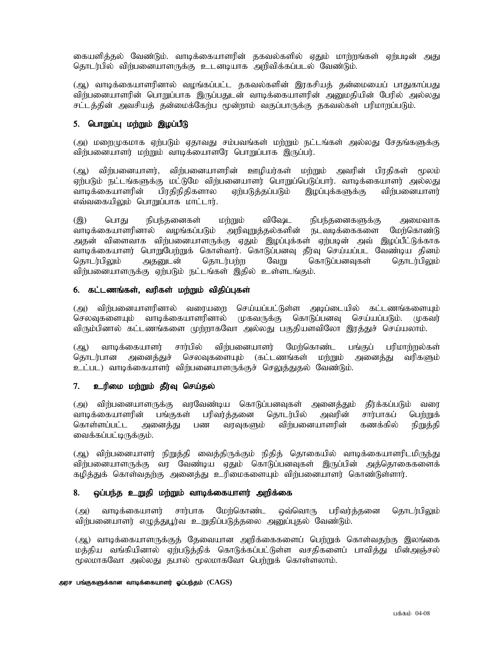கையளித்தல் வேண்டும். வாடிக்கையாளரின் தகவல்களில் ஏதும் மாற்றங்கள் எற்படின் அது தொடர்பில் விர்பனையாளருக்கு உடனடியாக அறிவிக்கப்படல் வேண்டும்.

(ஆ) வாடிக்கையாளரினால் வழங்கப்பட்ட தகவல்களின் இரகசியத் தன்மையைப் பாதுகாப்பது விர்பனையாளரின் பொறுப்பாக இருப்பதுடன் வாடிக்கையாளரின் அனுமதியின் பேரில் அல்லது சட்டத்தின் அவசியத் தன்மைக்கேற்ப மூன்றாம் வகுப்பாருக்கு தகவல்கள் பரிமாறப்படும்.

### 5. பொறுப்பு மற்றும் இழப்பீடு

(அ) மறைமுகமாக ஏற்படும் ஏதாவது சம்பவங்கள் மற்றும் நட்டங்கள் அல்லது சேதங்களுக்கு விற்பனையாளர் மற்றும் வாடிக்யைாளரே பொறுப்பாக இருப்பர்.

(ஆ) விற்பனையாளர், விற்பனையாளரின் ஊழியர்கள் மற்றும் அவரின் பிரதிகள் மூலம் ஏற்படும் நட்டங்களுக்கு மட்டுமே விற்பனையாளர் பொறுப்பெடுப்பார். வாடிக்கையாளர் அல்லது வாடிக்கையாளரின் பிரதிநிதிகளால ஏற்படுத்தப்படும் இழப்புக்களுக்கு விற்பனையாளர்  $\sigma$ வ்வகையிலும் பொறுப்பாக மாட்டார்.

(இ) பொது நிபந்தனைகள் மற்றும் விஷேட நிபந்தனைகளுக்கு அமைவாக வாடிக்கையாளரினால் வழங்கப்படும் அறிவுறுத்தல்களின் நடவடிக்கைகளை மேற்கொண்டு அதன் விளைவாக விற்பனையாளருக்கு ஏதும் இழப்புக்கள் ஏற்படின் அவ் இழப்பீட்டுக்காக வாடிக்கையாளர் பொறுபேற்றுக் கொள்வார். கொடுப்பனவு தீர்வு செய்யப்பட வேண்டிய தினம் தொடர்பிலும் அதனுடன் தொடர்பற்ற வேறு கொடுப்பனவுகள் தொடர்பிலும் விற்பனையாளருக்கு ஏற்படும் நட்டங்கள் இதில் உள்ளடங்கும்.

#### 6. கட்டணங்கள், வரிகள் மற்றும் விதிப்புகள்

(அ) விந்பனையாளரினால் வரையறை செய்யப்பட்டுள்ள அடிப்டையில் கட்டணங்களையும்<br>செலவுகளையும் வாடிக்கையாளரினால் முகவருக்கு கொடுப்பனவு செய்யப்படும். முகவர் முகவருக்கு கொடுப்பனவு செய்யப்படும். முகவர் விரும்பினால் கட்டணங்களை முற்றாகவோ அல்லது பகுதியளவிலோ இரத்துச் செய்யலாம்.

(ஆ) வாடிக்கையாளர் சார்பில் விர்பனையாளர் மேற்கொண்ட பங்குப் பரிமாற்றல்கள் தொடர்பான அனைத்துச் செலவுகளையும் (கட்டணங்கள் மற்றும் அனைத்து வரிகளும் உட்பட) வாடிக்கையாளர் விற்பனையாளருக்குச் செலுத்துதல் வேண்டும்.

### 7. உரிமை மற்றும் தீர்வு செய்தல்

(அ) விற்பனையாளருக்கு வரவேண்டிய கொடுப்பனவுகள் அனைத்தும் தீர்க்கப்படும் வரை வாடிக்கையாளரின் பங்குகள் பரிவர்க்கனை கொடர்பில் அவரின் சார்பாகப் பெர்றுக் கொள்ளப்பட்ட அனைத்து பண வரவுகளும் விற்பனையாளரின் கணக்கில் நிறுத்தி வைக்கப்பட்டிருக்கும்.

(ஆ) விற்பனையாளர் நிறுத்தி வைத்திருக்கும் நிதித் தொகையில் வாடிக்கையாளரிடமிருந்து விர்பனையாளருக்கு வர வேண்டிய ஏதும் கொடுப்பனவுகள் இருப்பின் அத்தொகைகளைக் கழித்துக் கொள்வதற்கு அனைத்து உரிமைகளையும் விற்பனையாளர் கொண்டுள்ளார்.

#### 8. ஒப்பந்த உறுதி மற்றும் வாடிக்கையாளர் அறிக்கை

(அ) வாடிக்கையாளர் சார்பாக மேற்கொண்ட ஒவ்வொரு பரிவர்த்தனை தொடர்பிலும் விற்பனையாளர் எழுத்துபூர்வ உறுதிப்படுத்தலை அனுப்புதல் வேண்டும்.

(ஆ) வாடிக்கையாளருக்குத் தேவையான அறிக்கைகளைப் பெற்றுக் கொள்வதற்கு இலங்கை மத்திய வங்கியினால் ஏற்படுத்திக் கொடுக்கப்பட்டுள்ள வசதிகளைப் பாவித்து மின்அஞ்சல் மூலமாகவோ அல்லது தபால் மூலமாகவோ பெற்றுக் கொள்ளலாம்.

#### அரச பங்குகளுக்கான வாடிக்கையாளர் ஓப்பந்தம் ( $\mathrm{CAGS})$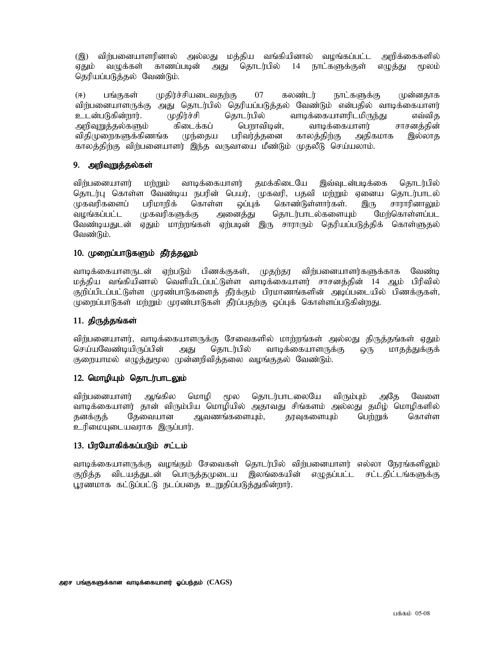(இ) விற்பனையாளரினால் அல்லது மக்கிய வங்கியினால் வமங்கப்பட்ட அறிக்கைகளில் ஏதும் வமுக்கள் காணப்படின் அது தொடர்பில் 14 நாட்களுக்குள் எமுக்து மூலம் தெரியப்படுத்தல் வேண்டும்.

(ஈ) பங்குகள் முதிர்ச்சியடைவதற்கு 07 கலண்டர் நாட்களுக்கு முன்னதாக விர்பனையாளருக்கு அது தொடர்பில் தெரியப்படுத்தல் வேண்டும் என்பதில் வாடிக்கையாளர் உடன்படுகின்றார். முதிர்ச்சி தொடர்பில் வாடிக்கையாளரிடமிருந்து எவ்வித<br>அறிவுறுத்தல்களும் கிடைக்கப் பெறாவிடின், வாடிக்கையாளர் சாசனத்தின் அறிவுறுத்தல்களும் கிடைக்கப் விதிமுறைகளுக்கிணங்க முந்தைய பரிவர்த்தனை காலத்திற்கு அதிகமாக இல்லாத காலத்திற்கு விற்பனையாளர் இந்த வருவாயை மீண்டும் முதலீடு செய்யலாம்.

### 9. அறிவுறுத்தல்கள்

விற்பனையாளர் மற்றும் வாடிக்கையாளர் தமக்கிடையே இவ்வுடன்படிக்கை தொடர்பில் தொடர்பு கொள்ள வேண்டிய நபரின் பெயர், முகவரி, பதவி மற்றும் ஏனைய தொடர்பாடல்<br>முகவரிகளைப் பரிமாறிக் கொள்ள ஒப்புக் கொண்டுள்ளார்கள். இரு சாராரினாலும் முகவரிகளைப் பரிமாறிக் கொள்ள ஒப்புக் கொண்டுள்ளார்கள். இரு சாராரினாலும்<br>வழங்கப்பட்ட முகவரிகளுக்கு அனைத்து தொடர்பாடல்களையும் மேற்கொள்ளப்பட வழங்கப்பட்ட முகவரிகளுக்கு அனைத்து தொடர்பாடல்களையும் மேற்கொள்ளப்பட வேண்டியதுடன் ஏதும் மாற்றங்கள் ஏற்படின் இரு சாராரும் தெரியப்படுத்திக் கொள்ளுதல் வேண்டும்.

### 10. முறைப்பாடுகளும் தீர்த்தலும்

வாடிக்கையாளருடன் ஏற்படும் பிணக்குகள், முதற்தர விற்பனையாளர்களுக்காக வேண்டி மத்திய வங்கியினால் வெளியிடப்பட்டுள்ள வாடிக்கையாளர் சாசனத்தின் 14 ஆம் பிரிவில் குறிப்பிடப்பட்டுள்ள முரண்பாடுகளைத் தீர்க்கும் பிரமாணங்களின் அடிப்படையில் பிணக்குகள், முறைப்பாடுகள் மற்றும் முரண்பாடுகள் கீர்ப்பகற்கு வப்புக் கொள்ளப்படுகின்றது.

### 11. திருத்தங்கள்

விற்பனையாளர், வாடிக்கையாளருக்கு சேவைகளில் மாற்றங்கள் அல்லது திருத்தங்கள் ஏதும்<br>செய்யவேண்டியிருப்பின் அது தொடர்பில் வாடிக்கையாளருக்கு ஒரு மாதத்துக்குக் செய்யவேண்டியிருப்பின் அது தொடர்பில் வாடிக்கையாளருக்கு ஒரு மாதத்துக்குக் குறையாமல் எழுத்துமூல முன்னரிவித்தலை வழங்குதல் வேண்டும்.

#### $12.$  மொழியும் தொடர்பாடலும்

விர்பனையாளர் ஆங்கில மொமி மூல கொடர்பாடலையே விரும்பும் அதே வேளை வாடிக்கையாளர் தான் விரும்பிய மொழியில் அதாவது சிங்களம் அல்லது தமிழ் மொழிகளில் தனக்குத் தேவையான ஆவணங்களையும், தரவுகளையும் பெற்றுக் கொள்ள உரிமையுடையவராக இருப்பார்.

#### 13. பிரயோகிக்கப்படும் சட்டம்

வாடிக்கையாளருக்கு வழங்கும் சேவைகள் தொடர்பில் விற்பனையாளர் எல்லா நேரங்களிலும் குறித்த விடயத்துடன் பொருத்தமுடைய இலங்கையின் எழுதப்பட்ட சட்டதிட்டங்களுக்கு பூரணமாக கட்டுப்பட்டு நடப்பதை உறுதிப்படுத்துகின்றார்.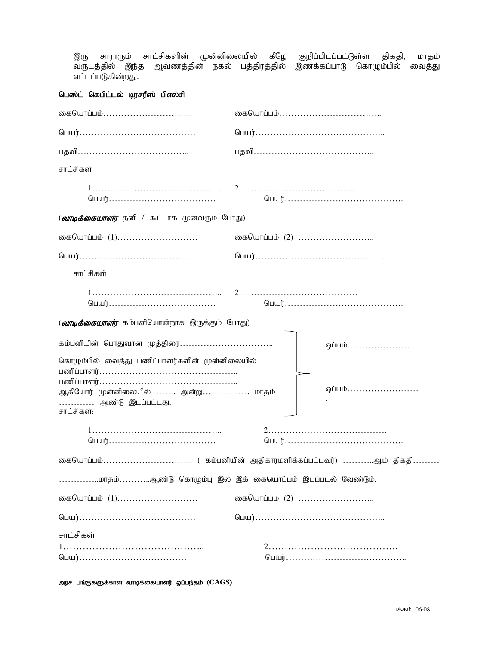இரு சாராரும் சாட்சிகளின் முன்னிலையில் கீழே குறிப்பிடப்பட்டுள்ள திகதி, மாதம் tUlj;jpy; ,e;j Mtzj;jpd; efy; gj ;jpuj;jpy; ,zf;fg;ghL nfhOk;gpy; itj;J எட்டப்படுகின்றது.

# பெஸ்ட் கெபிட்டல் டிரசரீஸ் பிஎல்சி

| கையொப்பம்                                                                     |               |
|-------------------------------------------------------------------------------|---------------|
|                                                                               |               |
|                                                                               |               |
| சாட்சிகள்                                                                     |               |
|                                                                               |               |
| ( <i>வாடிக்கையாளர்</i> தனி / கூட்டாக முன்வரும் போது)                          |               |
| கையொப்பம் (1)                                                                 | கையொப்பம் (2) |
|                                                                               |               |
| சாட்சிகள்                                                                     |               |
|                                                                               |               |
| ( <i>வாடிக்கையாளர்</i> கம்பனியொன்றாக இருக்கும் போது)                          |               |
| கம்பனியின் பொதுவான முத்திரை<br>கொழும்பில் வைத்து பணிப்பாளர்களின் முன்னிலையில் | ஒப்பம்        |
| ஆகியோர் முன்னிலையில்  அன்று மாதம்                                             | ஒப்பம்        |
| ………… ஆண்டு இடப்பட்டது.<br>சாட்சிகள்:                                          |               |
|                                                                               |               |
|                                                                               |               |
| மாதம்ஆண்டு கொழும்பு இல் இக் கையொப்பம் இடப்படல் வேண்டும்.                      |               |
| கையொப்பம் (1)                                                                 | கையொப்பம (2)  |
|                                                                               |               |
| சாட்சிகள்                                                                     |               |
|                                                                               |               |

அரச பங்குகளுக்கான வாடிக்கையாளர் ஓப்பந்தம் ( $\mathrm{CAGS}\text{)}$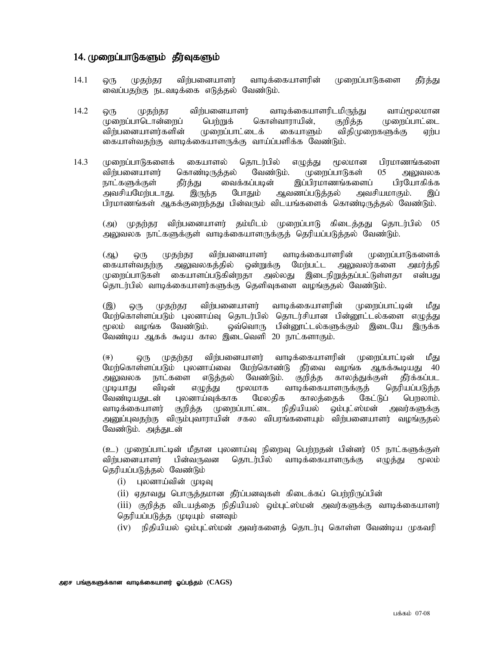## 14. முறைப்பாடுகளும் தீர்வுகளும்

- 14.1 ஒரு முதற்தர விற்பனையாளர் வாடிக்கையாளரின் முறைப்பாடுகளை தீர்த்து வைப்பதற்கு நடவடிக்கை எடுத்தல் வேண்டும்.
- 14.2 ஒரு முதற்தர விற்பனையாளர் வாடிக்கையாளரிடமிருந்து வாய்மூலமான முறைப்பாடொன்றைப் பெற்றுக் கொள்வாராயின், குறித்த முறைப்பாட்டை விற்பனையாளர்களின் முறைப்பாட்டைக் கையாளும் விதிமுறைகளுக்கு ஏற்ப கையாள்வதற்கு வாடிக்கையாளருக்கு வாய்ப்பளிக்க வேண்டும்.
- 14.3 முறைப்பாடுகளைக் கையாளல் தொடர்பில் எழுத்து மூலமான பிரமாணங்களை விர்பனையாளர் கொண்டிருத்தல் வேண்டும். முறைப்பாடுகள் 05 அலுவலக நாட்களுக்குள் தீர்த்து வைக்கப்படின் இப்பிரமாணங்களைப் பிரயோகிக்க<br>அவசியமேற்படாது. இருந்த போதும் ஆவணப்படுத்தல் அவசியமாகும். இப் அவசியமேற்படாது. இருந்த போதும் ஆவணப்படுத்தல் அவசியமாகும். இப் பிரமாணங்கள் ஆகக்குரைந்தது பின்வரும் விடயங்களைக் கொண்டிருத்தல் வேண்டும்.

(அ) முதற்தர விற்பனையாளர் தம்மிடம் முறைப்பாடு கிடைத்தது தொடர்பில் 05 அலுவலக நாட்களுக்குள் வாடிக்கையாளருக்குத் தெரியப்படுத்தல் வேண்டும்.

(ஆ) ஒரு முதற்தர விற்பனையாளர் வாடிக்கையாளரின் முறைப்பாடுகளைக் கையாள்வதற்கு அலுவலகத்தில் ஒன்றுக்கு மேற்பட்ட அலுவலர்களை அமர்த்தி முறைப்பாடுகள் கையாளப்படுகின்றதா அல்லது இடைநிறுத்தப்பட்டுள்ளதா என்பது தொடர்பில் வாடிக்கையாளர்களுக்கு தெளிவுகளை வழங்குதல் வேண்டும்.

(இ) ஒரு முதற்தூ விற்பனையாளர் வாடிக்கையாளரின் முறைப்பாட்டின் மீது மேற்கொள்ளப்படும் புலனாய்வு தொடர்பில் தொடர்சியான பின்னூட்டல்களை எழுத்து மூலம் வழங்க வேண்டும். ஒவ்வொரு பின்னூட்டல்களுக்கும் இடையே இருக்க வேண்டிய ஆகக் கூடிய கால இடைவெளி 20 நாட்களாகும்.

(<) xU Kjw;ju tpw;gidahsu; thbf;ifahsupd; Kiwg ;ghl;bd; k PJ மேற்கொள்ளப்படும் புலனாய்வை மேற்கொண்டு தீர்வை வழங்க ஆகக்கூடியது 40 அலுவலக நாட்களை எடுத்தல் வேண்டும். குறித்த காலத்துக்குள் தீர்க்கப்பட<br>முடியாது விடின் எழுத்து மூலமாக வாடிக்கையாளருக்குக் கெரியப்படுக்க முடியாது விடின் எழுத்து மூலமாக வாடிக்கையாளருக்குத் தெரியப்படுத்த<br>வேண்டியதுடன் புலனாய்வுக்காக மேலதிக காலத்தைக் கேட்டுப் பெறலாம். வேண்டியதுடன் புலனாய்வுக்காக மேலதிக காலத்தைக் கேட்டுப் பெறலாம். வாடிக்கையாளர் குறித்த முறைப்பாட்டை நிதியியல் ஒம்புட்ஸ்மன் அவர்களுக்கு அனுப்புவதற்கு விரும்புவாராயின் சகல விபரங்களையும் விற்பனையாளர் வழங்குதல் வேண்டும். அத்துடன்

(உ) முறைப்பாட்டின் மீதான புலனாய்வு நிறைவு பெற்றதன் பின்னர் 05 நாட்களுக்குள் விர்பனையாளர் பின்வருவன தொடர்பில் வாடிக்கையாளருக்கு எழுக்கு மூலம் தெரியப்படுத்தல் வேண்டும்

- $(i)$  புலனாய்வின் முடிவு
- (ii) ஏதாவது பொருத்தமான தீர்ப்பனவுகள் கிடைக்கப் பெற்றிருப்பின்

 $(iii)$  குறித்த விடயத்தை நிதியியல் ஒம்புட்ஸ்மன் அவர்களுக்கு வாடிக்கையாளர் தெரியப்படுக்கு முடியும் எனவும்

(iv) நிதியியல் ஒம்புட்ஸ்மன் அவர்களைத் தொடர்பு கொள்ள வேண்டிய முகவரி